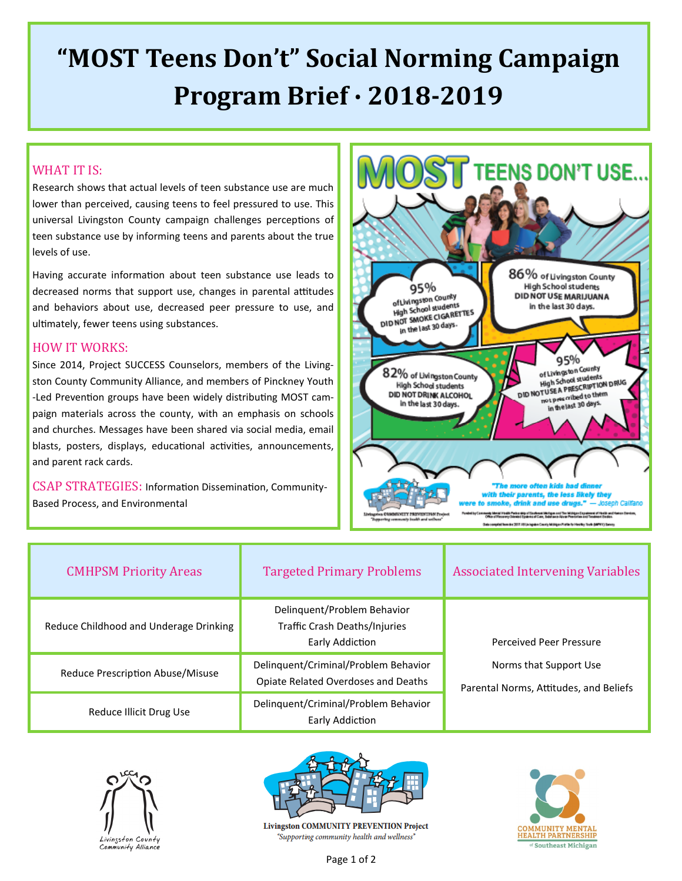# **"MOST Teens Don't" Social Norming Campaign Program Brief ∙ 2018-2019**

### WHAT IT IS:

Research shows that actual levels of teen substance use are much lower than perceived, causing teens to feel pressured to use. This universal Livingston County campaign challenges perceptions of teen substance use by informing teens and parents about the true levels of use.

Having accurate information about teen substance use leads to decreased norms that support use, changes in parental attitudes and behaviors about use, decreased peer pressure to use, and ultimately, fewer teens using substances.

#### HOW IT WORKS:

Since 2014, Project SUCCESS Counselors, members of the Livingston County Community Alliance, and members of Pinckney Youth -Led Prevention groups have been widely distributing MOST campaign materials across the county, with an emphasis on schools and churches. Messages have been shared via social media, email blasts, posters, displays, educational activities, announcements, and parent rack cards.

CSAP STRATEGIES: Information Dissemination, Community-Based Process, and Environmental



| <b>CMHPSM Priority Areas</b>           | <b>Targeted Primary Problems</b>                                                | <b>Associated Intervening Variables</b>                          |
|----------------------------------------|---------------------------------------------------------------------------------|------------------------------------------------------------------|
| Reduce Childhood and Underage Drinking | Delinquent/Problem Behavior<br>Traffic Crash Deaths/Injuries<br>Early Addiction | <b>Perceived Peer Pressure</b>                                   |
| Reduce Prescription Abuse/Misuse       | Delinquent/Criminal/Problem Behavior<br>Opiate Related Overdoses and Deaths     | Norms that Support Use<br>Parental Norms, Attitudes, and Beliefs |
| Reduce Illicit Drug Use                | Delinquent/Criminal/Problem Behavior<br>Early Addiction                         |                                                                  |





**Livingston COMMUNITY PREVENTION Project** "Supporting community health and wellness"